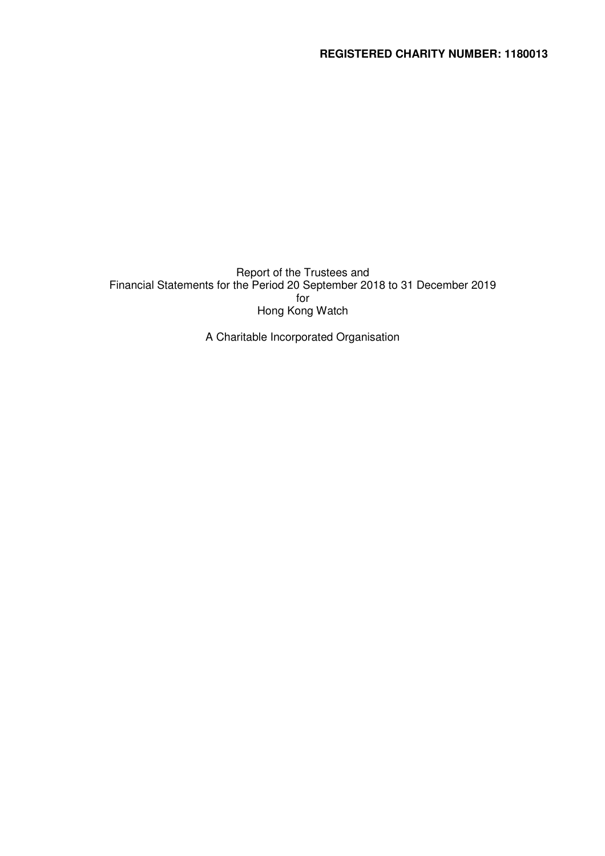Report of the Trustees and Financial Statements for the Period 20 September 2018 to 31 December 2019 for Hong Kong Watch

A Charitable Incorporated Organisation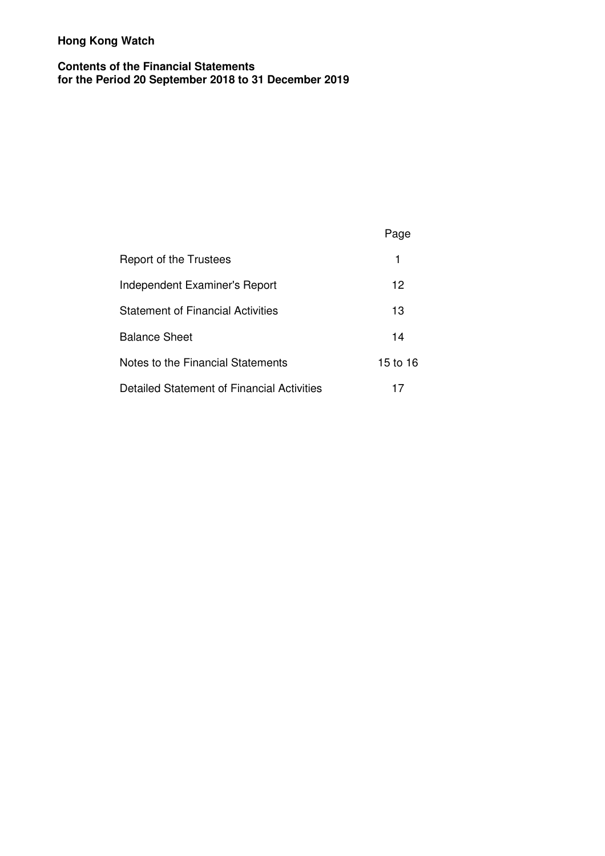# **Contents of the Financial Statements for the Period 20 September 2018 to 31 December 2019**

# Page

| Report of the Trustees                     |          |
|--------------------------------------------|----------|
| Independent Examiner's Report              | 12       |
| Statement of Financial Activities          | 13       |
| Balance Sheet                              | 14       |
| Notes to the Financial Statements          | 15 to 16 |
| Detailed Statement of Financial Activities |          |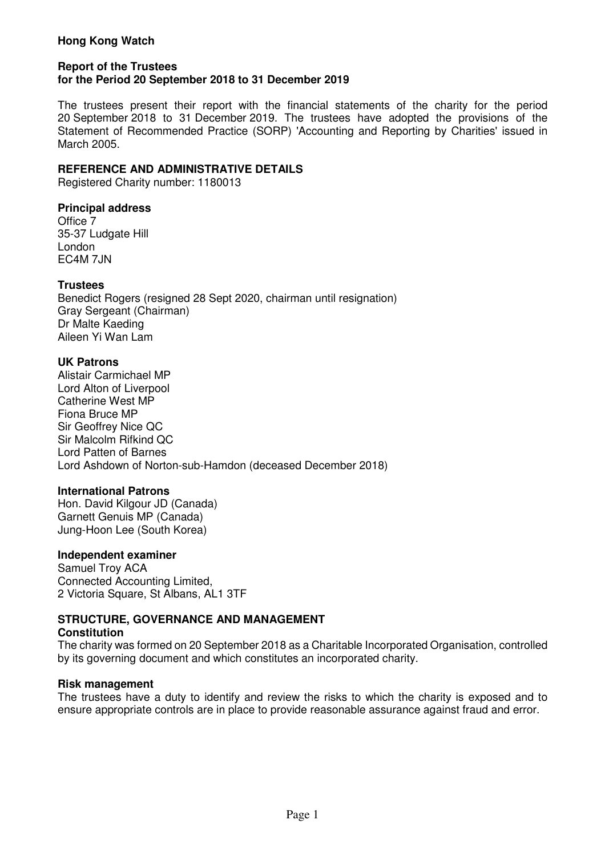#### **Report of the Trustees for the Period 20 September 2018 to 31 December 2019**

The trustees present their report with the financial statements of the charity for the period 20 September 2018 to 31 December 2019. The trustees have adopted the provisions of the Statement of Recommended Practice (SORP) 'Accounting and Reporting by Charities' issued in March 2005.

# **REFERENCE AND ADMINISTRATIVE DETAILS**

Registered Charity number: 1180013

# **Principal address**

Office 7 35-37 Ludgate Hill London EC4M 7JN

# **Trustees**

Benedict Rogers (resigned 28 Sept 2020, chairman until resignation) Gray Sergeant (Chairman) Dr Malte Kaeding Aileen Yi Wan Lam

# **UK Patrons**

Alistair Carmichael MP Lord Alton of Liverpool Catherine West MP Fiona Bruce MP Sir Geoffrey Nice QC Sir Malcolm Rifkind QC Lord Patten of Barnes Lord Ashdown of Norton-sub-Hamdon (deceased December 2018)

#### **International Patrons**

Hon. David Kilgour JD (Canada) Garnett Genuis MP (Canada) Jung-Hoon Lee (South Korea)

# **Independent examiner**

Samuel Troy ACA Connected Accounting Limited, 2 Victoria Square, St Albans, AL1 3TF

#### **STRUCTURE, GOVERNANCE AND MANAGEMENT Constitution**

The charity was formed on 20 September 2018 as a Charitable Incorporated Organisation, controlled by its governing document and which constitutes an incorporated charity.

#### **Risk management**

The trustees have a duty to identify and review the risks to which the charity is exposed and to ensure appropriate controls are in place to provide reasonable assurance against fraud and error.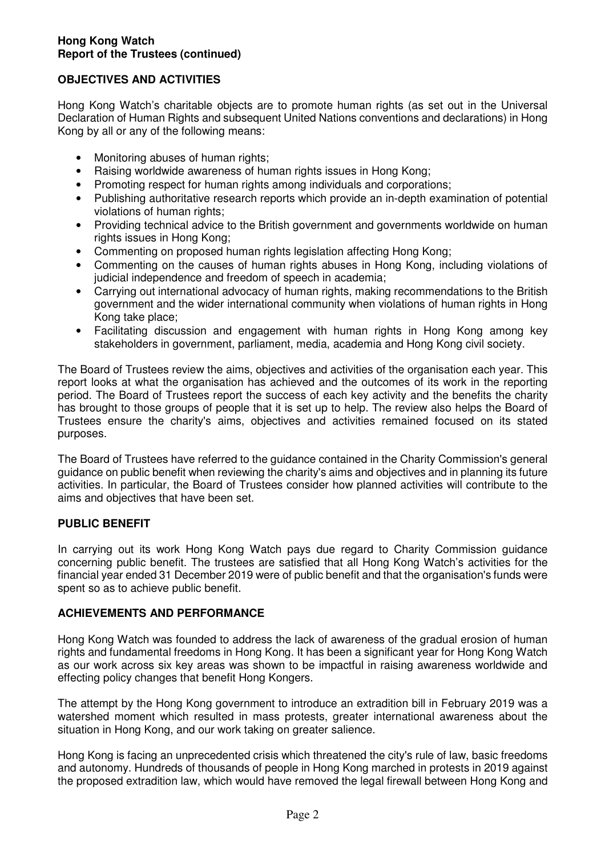# **OBJECTIVES AND ACTIVITIES**

Hong Kong Watch's charitable objects are to promote human rights (as set out in the Universal Declaration of Human Rights and subsequent United Nations conventions and declarations) in Hong Kong by all or any of the following means:

- Monitoring abuses of human rights;
- Raising worldwide awareness of human rights issues in Hong Kong;
- Promoting respect for human rights among individuals and corporations:
- Publishing authoritative research reports which provide an in-depth examination of potential violations of human rights;
- Providing technical advice to the British government and governments worldwide on human rights issues in Hong Kong;
- Commenting on proposed human rights legislation affecting Hong Kong;
- Commenting on the causes of human rights abuses in Hong Kong, including violations of judicial independence and freedom of speech in academia;
- Carrying out international advocacy of human rights, making recommendations to the British government and the wider international community when violations of human rights in Hong Kong take place;
- Facilitating discussion and engagement with human rights in Hong Kong among key stakeholders in government, parliament, media, academia and Hong Kong civil society.

The Board of Trustees review the aims, objectives and activities of the organisation each year. This report looks at what the organisation has achieved and the outcomes of its work in the reporting period. The Board of Trustees report the success of each key activity and the benefits the charity has brought to those groups of people that it is set up to help. The review also helps the Board of Trustees ensure the charity's aims, objectives and activities remained focused on its stated purposes.

The Board of Trustees have referred to the guidance contained in the Charity Commission's general guidance on public benefit when reviewing the charity's aims and objectives and in planning its future activities. In particular, the Board of Trustees consider how planned activities will contribute to the aims and objectives that have been set.

# **PUBLIC BENEFIT**

In carrying out its work Hong Kong Watch pays due regard to Charity Commission guidance concerning public benefit. The trustees are satisfied that all Hong Kong Watch's activities for the financial year ended 31 December 2019 were of public benefit and that the organisation's funds were spent so as to achieve public benefit.

# **ACHIEVEMENTS AND PERFORMANCE**

Hong Kong Watch was founded to address the lack of awareness of the gradual erosion of human rights and fundamental freedoms in Hong Kong. It has been a significant year for Hong Kong Watch as our work across six key areas was shown to be impactful in raising awareness worldwide and effecting policy changes that benefit Hong Kongers.

The attempt by the Hong Kong government to introduce an extradition bill in February 2019 was a watershed moment which resulted in mass protests, greater international awareness about the situation in Hong Kong, and our work taking on greater salience.

Hong Kong is facing an unprecedented crisis which threatened the city's rule of law, basic freedoms and autonomy. Hundreds of thousands of people in Hong Kong marched in protests in 2019 against the proposed extradition law, which would have removed the legal firewall between Hong Kong and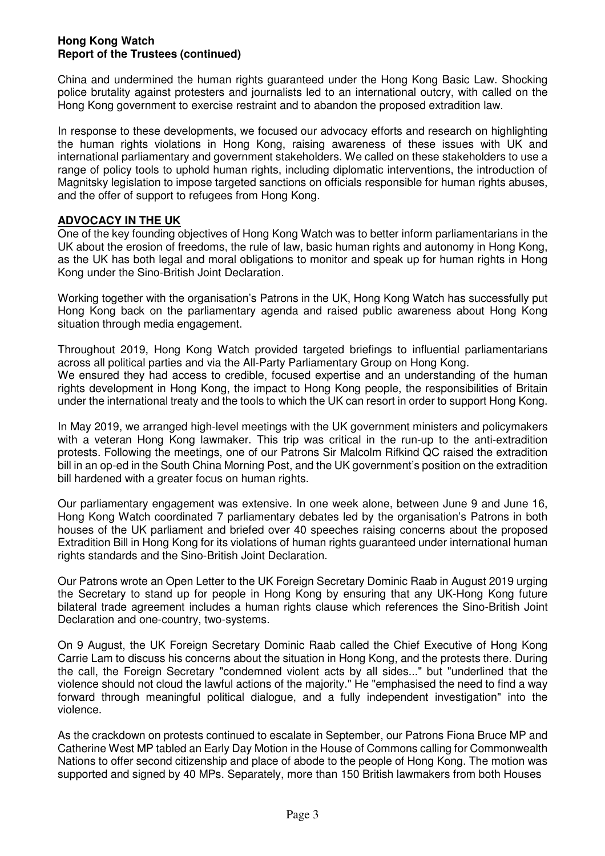China and undermined the human rights guaranteed under the Hong Kong Basic Law. Shocking police brutality against protesters and journalists led to an international outcry, with called on the Hong Kong government to exercise restraint and to abandon the proposed extradition law.

In response to these developments, we focused our advocacy efforts and research on highlighting the human rights violations in Hong Kong, raising awareness of these issues with UK and international parliamentary and government stakeholders. We called on these stakeholders to use a range of policy tools to uphold human rights, including diplomatic interventions, the introduction of Magnitsky legislation to impose targeted sanctions on officials responsible for human rights abuses, and the offer of support to refugees from Hong Kong.

# **ADVOCACY IN THE UK**

One of the key founding objectives of Hong Kong Watch was to better inform parliamentarians in the UK about the erosion of freedoms, the rule of law, basic human rights and autonomy in Hong Kong, as the UK has both legal and moral obligations to monitor and speak up for human rights in Hong Kong under the Sino-British Joint Declaration.

Working together with the organisation's Patrons in the UK, Hong Kong Watch has successfully put Hong Kong back on the parliamentary agenda and raised public awareness about Hong Kong situation through media engagement.

Throughout 2019, Hong Kong Watch provided targeted briefings to influential parliamentarians across all political parties and via the All-Party Parliamentary Group on Hong Kong. We ensured they had access to credible, focused expertise and an understanding of the human rights development in Hong Kong, the impact to Hong Kong people, the responsibilities of Britain under the international treaty and the tools to which the UK can resort in order to support Hong Kong.

In May 2019, we arranged high-level meetings with the UK government ministers and policymakers with a veteran Hong Kong lawmaker. This trip was critical in the run-up to the anti-extradition protests. Following the meetings, one of our Patrons Sir Malcolm Rifkind QC raised the extradition bill in an op-ed in the South China Morning Post, and the UK government's position on the extradition bill hardened with a greater focus on human rights.

Our parliamentary engagement was extensive. In one week alone, between June 9 and June 16, Hong Kong Watch coordinated 7 parliamentary debates led by the organisation's Patrons in both houses of the UK parliament and briefed over 40 speeches raising concerns about the proposed Extradition Bill in Hong Kong for its violations of human rights guaranteed under international human rights standards and the Sino-British Joint Declaration.

Our Patrons wrote an Open Letter to the UK Foreign Secretary Dominic Raab in August 2019 urging the Secretary to stand up for people in Hong Kong by ensuring that any UK-Hong Kong future bilateral trade agreement includes a human rights clause which references the Sino-British Joint Declaration and one-country, two-systems.

On 9 August, the UK Foreign Secretary Dominic Raab called the Chief Executive of Hong Kong Carrie Lam to discuss his concerns about the situation in Hong Kong, and the protests there. During the call, the Foreign Secretary "condemned violent acts by all sides..." but "underlined that the violence should not cloud the lawful actions of the majority." He "emphasised the need to find a way forward through meaningful political dialogue, and a fully independent investigation" into the violence.

As the crackdown on protests continued to escalate in September, our Patrons Fiona Bruce MP and Catherine West MP tabled an Early Day Motion in the House of Commons calling for Commonwealth Nations to offer second citizenship and place of abode to the people of Hong Kong. The motion was supported and signed by 40 MPs. Separately, more than 150 British lawmakers from both Houses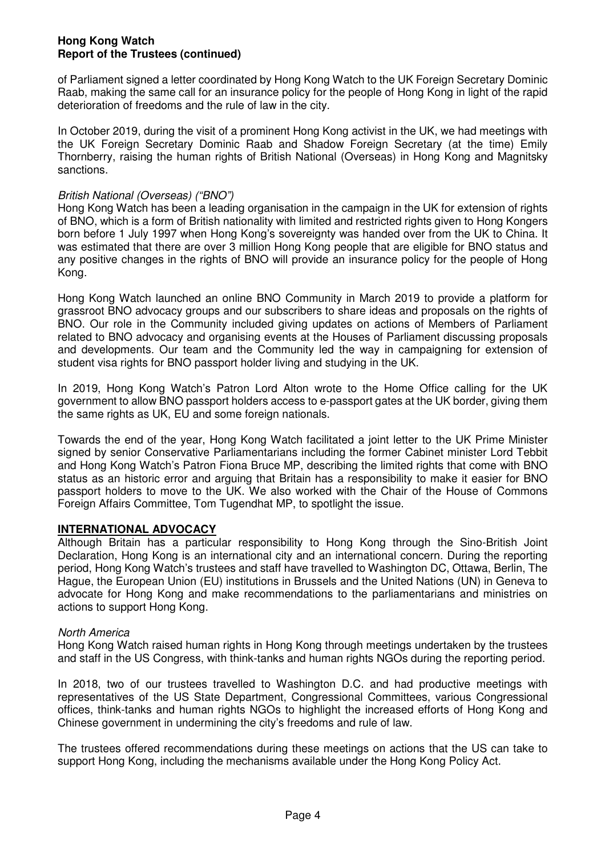of Parliament signed a letter coordinated by Hong Kong Watch to the UK Foreign Secretary Dominic Raab, making the same call for an insurance policy for the people of Hong Kong in light of the rapid deterioration of freedoms and the rule of law in the city.

In October 2019, during the visit of a prominent Hong Kong activist in the UK, we had meetings with the UK Foreign Secretary Dominic Raab and Shadow Foreign Secretary (at the time) Emily Thornberry, raising the human rights of British National (Overseas) in Hong Kong and Magnitsky sanctions.

# British National (Overseas) ("BNO")

Hong Kong Watch has been a leading organisation in the campaign in the UK for extension of rights of BNO, which is a form of British nationality with limited and restricted rights given to Hong Kongers born before 1 July 1997 when Hong Kong's sovereignty was handed over from the UK to China. It was estimated that there are over 3 million Hong Kong people that are eligible for BNO status and any positive changes in the rights of BNO will provide an insurance policy for the people of Hong Kong.

Hong Kong Watch launched an online BNO Community in March 2019 to provide a platform for grassroot BNO advocacy groups and our subscribers to share ideas and proposals on the rights of BNO. Our role in the Community included giving updates on actions of Members of Parliament related to BNO advocacy and organising events at the Houses of Parliament discussing proposals and developments. Our team and the Community led the way in campaigning for extension of student visa rights for BNO passport holder living and studying in the UK.

In 2019, Hong Kong Watch's Patron Lord Alton wrote to the Home Office calling for the UK government to allow BNO passport holders access to e-passport gates at the UK border, giving them the same rights as UK, EU and some foreign nationals.

Towards the end of the year, Hong Kong Watch facilitated a joint letter to the UK Prime Minister signed by senior Conservative Parliamentarians including the former Cabinet minister Lord Tebbit and Hong Kong Watch's Patron Fiona Bruce MP, describing the limited rights that come with BNO status as an historic error and arguing that Britain has a responsibility to make it easier for BNO passport holders to move to the UK. We also worked with the Chair of the House of Commons Foreign Affairs Committee, Tom Tugendhat MP, to spotlight the issue.

# **INTERNATIONAL ADVOCACY**

Although Britain has a particular responsibility to Hong Kong through the Sino-British Joint Declaration, Hong Kong is an international city and an international concern. During the reporting period, Hong Kong Watch's trustees and staff have travelled to Washington DC, Ottawa, Berlin, The Hague, the European Union (EU) institutions in Brussels and the United Nations (UN) in Geneva to advocate for Hong Kong and make recommendations to the parliamentarians and ministries on actions to support Hong Kong.

# North America

Hong Kong Watch raised human rights in Hong Kong through meetings undertaken by the trustees and staff in the US Congress, with think-tanks and human rights NGOs during the reporting period.

In 2018, two of our trustees travelled to Washington D.C. and had productive meetings with representatives of the US State Department, Congressional Committees, various Congressional offices, think-tanks and human rights NGOs to highlight the increased efforts of Hong Kong and Chinese government in undermining the city's freedoms and rule of law.

The trustees offered recommendations during these meetings on actions that the US can take to support Hong Kong, including the mechanisms available under the Hong Kong Policy Act.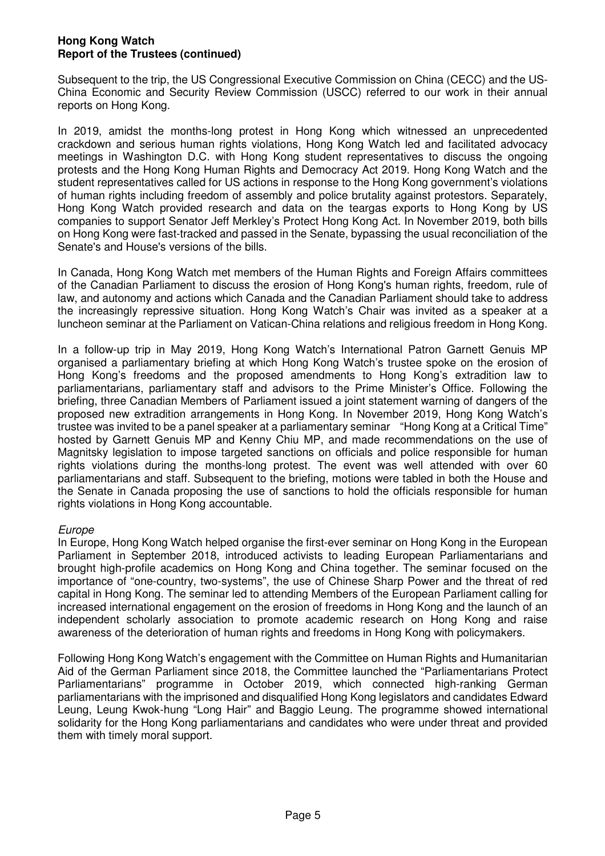Subsequent to the trip, the US Congressional Executive Commission on China (CECC) and the US-China Economic and Security Review Commission (USCC) referred to our work in their annual reports on Hong Kong.

In 2019, amidst the months-long protest in Hong Kong which witnessed an unprecedented crackdown and serious human rights violations, Hong Kong Watch led and facilitated advocacy meetings in Washington D.C. with Hong Kong student representatives to discuss the ongoing protests and the Hong Kong Human Rights and Democracy Act 2019. Hong Kong Watch and the student representatives called for US actions in response to the Hong Kong government's violations of human rights including freedom of assembly and police brutality against protestors. Separately, Hong Kong Watch provided research and data on the teargas exports to Hong Kong by US companies to support Senator Jeff Merkley's Protect Hong Kong Act. In November 2019, both bills on Hong Kong were fast-tracked and passed in the Senate, bypassing the usual reconciliation of the Senate's and House's versions of the bills.

In Canada, Hong Kong Watch met members of the Human Rights and Foreign Affairs committees of the Canadian Parliament to discuss the erosion of Hong Kong's human rights, freedom, rule of law, and autonomy and actions which Canada and the Canadian Parliament should take to address the increasingly repressive situation. Hong Kong Watch's Chair was invited as a speaker at a luncheon seminar at the Parliament on Vatican-China relations and religious freedom in Hong Kong.

In a follow-up trip in May 2019, Hong Kong Watch's International Patron Garnett Genuis MP organised a parliamentary briefing at which Hong Kong Watch's trustee spoke on the erosion of Hong Kong's freedoms and the proposed amendments to Hong Kong's extradition law to parliamentarians, parliamentary staff and advisors to the Prime Minister's Office. Following the briefing, three Canadian Members of Parliament issued a joint statement warning of dangers of the proposed new extradition arrangements in Hong Kong. In November 2019, Hong Kong Watch's trustee was invited to be a panel speaker at a parliamentary seminar "Hong Kong at a Critical Time" hosted by Garnett Genuis MP and Kenny Chiu MP, and made recommendations on the use of Magnitsky legislation to impose targeted sanctions on officials and police responsible for human rights violations during the months-long protest. The event was well attended with over 60 parliamentarians and staff. Subsequent to the briefing, motions were tabled in both the House and the Senate in Canada proposing the use of sanctions to hold the officials responsible for human rights violations in Hong Kong accountable.

# Europe

In Europe, Hong Kong Watch helped organise the first-ever seminar on Hong Kong in the European Parliament in September 2018, introduced activists to leading European Parliamentarians and brought high-profile academics on Hong Kong and China together. The seminar focused on the importance of "one-country, two-systems", the use of Chinese Sharp Power and the threat of red capital in Hong Kong. The seminar led to attending Members of the European Parliament calling for increased international engagement on the erosion of freedoms in Hong Kong and the launch of an independent scholarly association to promote academic research on Hong Kong and raise awareness of the deterioration of human rights and freedoms in Hong Kong with policymakers.

Following Hong Kong Watch's engagement with the Committee on Human Rights and Humanitarian Aid of the German Parliament since 2018, the Committee launched the "Parliamentarians Protect Parliamentarians" programme in October 2019, which connected high-ranking German parliamentarians with the imprisoned and disqualified Hong Kong legislators and candidates Edward Leung, Leung Kwok-hung "Long Hair" and Baggio Leung. The programme showed international solidarity for the Hong Kong parliamentarians and candidates who were under threat and provided them with timely moral support.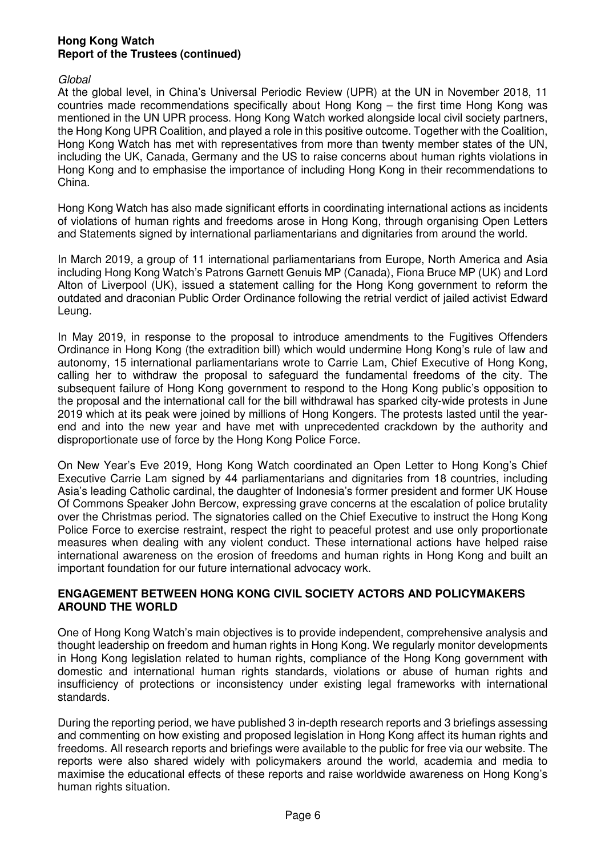#### Global

At the global level, in China's Universal Periodic Review (UPR) at the UN in November 2018, 11 countries made recommendations specifically about Hong Kong – the first time Hong Kong was mentioned in the UN UPR process. Hong Kong Watch worked alongside local civil society partners, the Hong Kong UPR Coalition, and played a role in this positive outcome. Together with the Coalition, Hong Kong Watch has met with representatives from more than twenty member states of the UN, including the UK, Canada, Germany and the US to raise concerns about human rights violations in Hong Kong and to emphasise the importance of including Hong Kong in their recommendations to China.

Hong Kong Watch has also made significant efforts in coordinating international actions as incidents of violations of human rights and freedoms arose in Hong Kong, through organising Open Letters and Statements signed by international parliamentarians and dignitaries from around the world.

In March 2019, a group of 11 international parliamentarians from Europe, North America and Asia including Hong Kong Watch's Patrons Garnett Genuis MP (Canada), Fiona Bruce MP (UK) and Lord Alton of Liverpool (UK), issued a statement calling for the Hong Kong government to reform the outdated and draconian Public Order Ordinance following the retrial verdict of jailed activist Edward Leung.

In May 2019, in response to the proposal to introduce amendments to the Fugitives Offenders Ordinance in Hong Kong (the extradition bill) which would undermine Hong Kong's rule of law and autonomy, 15 international parliamentarians wrote to Carrie Lam, Chief Executive of Hong Kong, calling her to withdraw the proposal to safeguard the fundamental freedoms of the city. The subsequent failure of Hong Kong government to respond to the Hong Kong public's opposition to the proposal and the international call for the bill withdrawal has sparked city-wide protests in June 2019 which at its peak were joined by millions of Hong Kongers. The protests lasted until the yearend and into the new year and have met with unprecedented crackdown by the authority and disproportionate use of force by the Hong Kong Police Force.

On New Year's Eve 2019, Hong Kong Watch coordinated an Open Letter to Hong Kong's Chief Executive Carrie Lam signed by 44 parliamentarians and dignitaries from 18 countries, including Asia's leading Catholic cardinal, the daughter of Indonesia's former president and former UK House Of Commons Speaker John Bercow, expressing grave concerns at the escalation of police brutality over the Christmas period. The signatories called on the Chief Executive to instruct the Hong Kong Police Force to exercise restraint, respect the right to peaceful protest and use only proportionate measures when dealing with any violent conduct. These international actions have helped raise international awareness on the erosion of freedoms and human rights in Hong Kong and built an important foundation for our future international advocacy work.

# **ENGAGEMENT BETWEEN HONG KONG CIVIL SOCIETY ACTORS AND POLICYMAKERS AROUND THE WORLD**

One of Hong Kong Watch's main objectives is to provide independent, comprehensive analysis and thought leadership on freedom and human rights in Hong Kong. We regularly monitor developments in Hong Kong legislation related to human rights, compliance of the Hong Kong government with domestic and international human rights standards, violations or abuse of human rights and insufficiency of protections or inconsistency under existing legal frameworks with international standards.

During the reporting period, we have published 3 in-depth research reports and 3 briefings assessing and commenting on how existing and proposed legislation in Hong Kong affect its human rights and freedoms. All research reports and briefings were available to the public for free via our website. The reports were also shared widely with policymakers around the world, academia and media to maximise the educational effects of these reports and raise worldwide awareness on Hong Kong's human rights situation.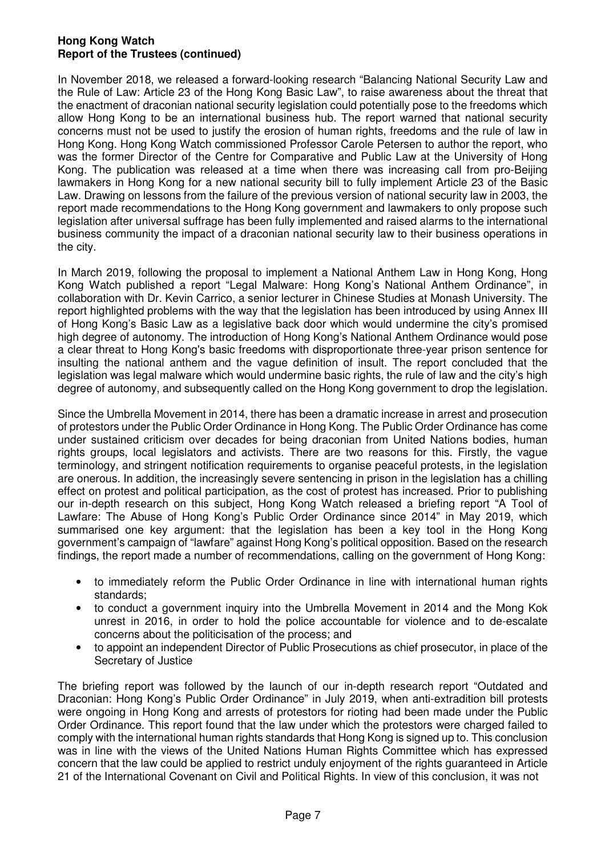In November 2018, we released a forward-looking research "Balancing National Security Law and the Rule of Law: Article 23 of the Hong Kong Basic Law", to raise awareness about the threat that the enactment of draconian national security legislation could potentially pose to the freedoms which allow Hong Kong to be an international business hub. The report warned that national security concerns must not be used to justify the erosion of human rights, freedoms and the rule of law in Hong Kong. Hong Kong Watch commissioned Professor Carole Petersen to author the report, who was the former Director of the Centre for Comparative and Public Law at the University of Hong Kong. The publication was released at a time when there was increasing call from pro-Beijing lawmakers in Hong Kong for a new national security bill to fully implement Article 23 of the Basic Law. Drawing on lessons from the failure of the previous version of national security law in 2003, the report made recommendations to the Hong Kong government and lawmakers to only propose such legislation after universal suffrage has been fully implemented and raised alarms to the international business community the impact of a draconian national security law to their business operations in the city.

In March 2019, following the proposal to implement a National Anthem Law in Hong Kong, Hong Kong Watch published a report "Legal Malware: Hong Kong's National Anthem Ordinance", in collaboration with Dr. Kevin Carrico, a senior lecturer in Chinese Studies at Monash University. The report highlighted problems with the way that the legislation has been introduced by using Annex III of Hong Kong's Basic Law as a legislative back door which would undermine the city's promised high degree of autonomy. The introduction of Hong Kong's National Anthem Ordinance would pose a clear threat to Hong Kong's basic freedoms with disproportionate three-year prison sentence for insulting the national anthem and the vague definition of insult. The report concluded that the legislation was legal malware which would undermine basic rights, the rule of law and the city's high degree of autonomy, and subsequently called on the Hong Kong government to drop the legislation.

Since the Umbrella Movement in 2014, there has been a dramatic increase in arrest and prosecution of protestors under the Public Order Ordinance in Hong Kong. The Public Order Ordinance has come under sustained criticism over decades for being draconian from United Nations bodies, human rights groups, local legislators and activists. There are two reasons for this. Firstly, the vague terminology, and stringent notification requirements to organise peaceful protests, in the legislation are onerous. In addition, the increasingly severe sentencing in prison in the legislation has a chilling effect on protest and political participation, as the cost of protest has increased. Prior to publishing our in-depth research on this subject, Hong Kong Watch released a briefing report "A Tool of Lawfare: The Abuse of Hong Kong's Public Order Ordinance since 2014" in May 2019, which summarised one key argument: that the legislation has been a key tool in the Hong Kong government's campaign of "lawfare" against Hong Kong's political opposition. Based on the research findings, the report made a number of recommendations, calling on the government of Hong Kong:

- to immediately reform the Public Order Ordinance in line with international human rights standards;
- to conduct a government inquiry into the Umbrella Movement in 2014 and the Mong Kok unrest in 2016, in order to hold the police accountable for violence and to de-escalate concerns about the politicisation of the process; and
- to appoint an independent Director of Public Prosecutions as chief prosecutor, in place of the Secretary of Justice

The briefing report was followed by the launch of our in-depth research report "Outdated and Draconian: Hong Kong's Public Order Ordinance" in July 2019, when anti-extradition bill protests were ongoing in Hong Kong and arrests of protestors for rioting had been made under the Public Order Ordinance. This report found that the law under which the protestors were charged failed to comply with the international human rights standards that Hong Kong is signed up to. This conclusion was in line with the views of the United Nations Human Rights Committee which has expressed concern that the law could be applied to restrict unduly enjoyment of the rights guaranteed in Article 21 of the International Covenant on Civil and Political Rights. In view of this conclusion, it was not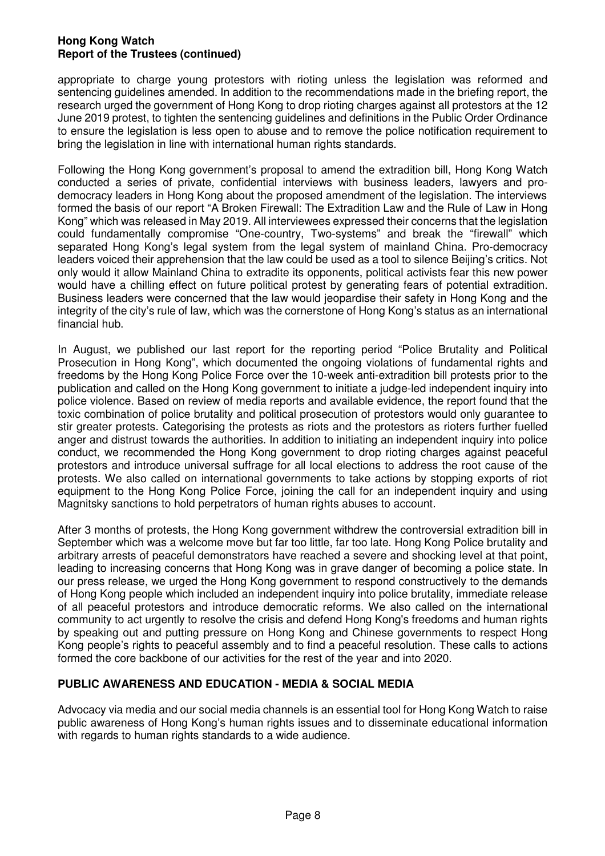appropriate to charge young protestors with rioting unless the legislation was reformed and sentencing guidelines amended. In addition to the recommendations made in the briefing report, the research urged the government of Hong Kong to drop rioting charges against all protestors at the 12 June 2019 protest, to tighten the sentencing guidelines and definitions in the Public Order Ordinance to ensure the legislation is less open to abuse and to remove the police notification requirement to bring the legislation in line with international human rights standards.

Following the Hong Kong government's proposal to amend the extradition bill, Hong Kong Watch conducted a series of private, confidential interviews with business leaders, lawyers and prodemocracy leaders in Hong Kong about the proposed amendment of the legislation. The interviews formed the basis of our report "A Broken Firewall: The Extradition Law and the Rule of Law in Hong Kong" which was released in May 2019. All interviewees expressed their concerns that the legislation could fundamentally compromise "One-country, Two-systems" and break the "firewall" which separated Hong Kong's legal system from the legal system of mainland China. Pro-democracy leaders voiced their apprehension that the law could be used as a tool to silence Beijing's critics. Not only would it allow Mainland China to extradite its opponents, political activists fear this new power would have a chilling effect on future political protest by generating fears of potential extradition. Business leaders were concerned that the law would jeopardise their safety in Hong Kong and the integrity of the city's rule of law, which was the cornerstone of Hong Kong's status as an international financial hub.

In August, we published our last report for the reporting period "Police Brutality and Political Prosecution in Hong Kong", which documented the ongoing violations of fundamental rights and freedoms by the Hong Kong Police Force over the 10-week anti-extradition bill protests prior to the publication and called on the Hong Kong government to initiate a judge-led independent inquiry into police violence. Based on review of media reports and available evidence, the report found that the toxic combination of police brutality and political prosecution of protestors would only guarantee to stir greater protests. Categorising the protests as riots and the protestors as rioters further fuelled anger and distrust towards the authorities. In addition to initiating an independent inquiry into police conduct, we recommended the Hong Kong government to drop rioting charges against peaceful protestors and introduce universal suffrage for all local elections to address the root cause of the protests. We also called on international governments to take actions by stopping exports of riot equipment to the Hong Kong Police Force, joining the call for an independent inquiry and using Magnitsky sanctions to hold perpetrators of human rights abuses to account.

After 3 months of protests, the Hong Kong government withdrew the controversial extradition bill in September which was a welcome move but far too little, far too late. Hong Kong Police brutality and arbitrary arrests of peaceful demonstrators have reached a severe and shocking level at that point, leading to increasing concerns that Hong Kong was in grave danger of becoming a police state. In our press release, we urged the Hong Kong government to respond constructively to the demands of Hong Kong people which included an independent inquiry into police brutality, immediate release of all peaceful protestors and introduce democratic reforms. We also called on the international community to act urgently to resolve the crisis and defend Hong Kong's freedoms and human rights by speaking out and putting pressure on Hong Kong and Chinese governments to respect Hong Kong people's rights to peaceful assembly and to find a peaceful resolution. These calls to actions formed the core backbone of our activities for the rest of the year and into 2020.

# **PUBLIC AWARENESS AND EDUCATION - MEDIA & SOCIAL MEDIA**

Advocacy via media and our social media channels is an essential tool for Hong Kong Watch to raise public awareness of Hong Kong's human rights issues and to disseminate educational information with regards to human rights standards to a wide audience.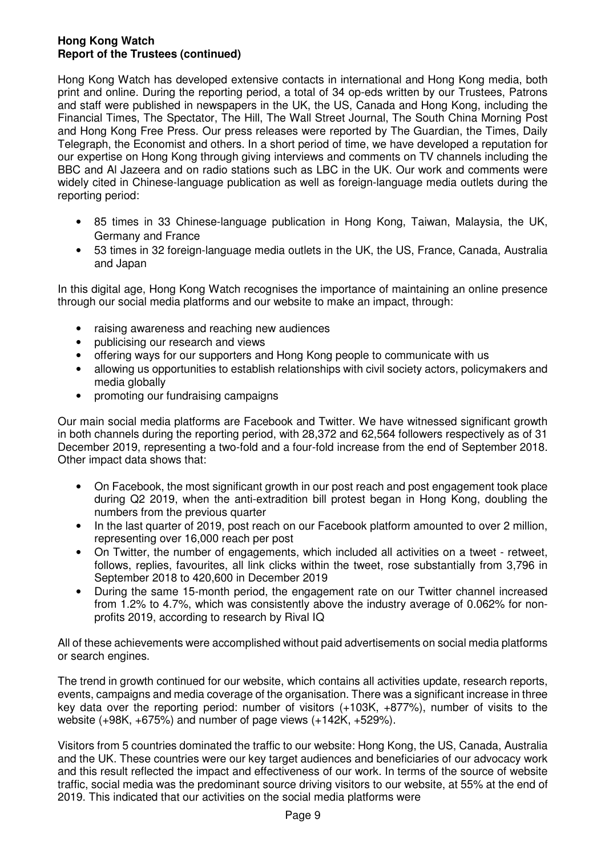Hong Kong Watch has developed extensive contacts in international and Hong Kong media, both print and online. During the reporting period, a total of 34 op-eds written by our Trustees, Patrons and staff were published in newspapers in the UK, the US, Canada and Hong Kong, including the Financial Times, The Spectator, The Hill, The Wall Street Journal, The South China Morning Post and Hong Kong Free Press. Our press releases were reported by The Guardian, the Times, Daily Telegraph, the Economist and others. In a short period of time, we have developed a reputation for our expertise on Hong Kong through giving interviews and comments on TV channels including the BBC and Al Jazeera and on radio stations such as LBC in the UK. Our work and comments were widely cited in Chinese-language publication as well as foreign-language media outlets during the reporting period:

- 85 times in 33 Chinese-language publication in Hong Kong, Taiwan, Malaysia, the UK, Germany and France
- 53 times in 32 foreign-language media outlets in the UK, the US, France, Canada, Australia and Japan

In this digital age, Hong Kong Watch recognises the importance of maintaining an online presence through our social media platforms and our website to make an impact, through:

- raising awareness and reaching new audiences
- publicising our research and views
- offering ways for our supporters and Hong Kong people to communicate with us
- allowing us opportunities to establish relationships with civil society actors, policymakers and media globally
- promoting our fundraising campaigns

Our main social media platforms are Facebook and Twitter. We have witnessed significant growth in both channels during the reporting period, with 28,372 and 62,564 followers respectively as of 31 December 2019, representing a two-fold and a four-fold increase from the end of September 2018. Other impact data shows that:

- On Facebook, the most significant growth in our post reach and post engagement took place during Q2 2019, when the anti-extradition bill protest began in Hong Kong, doubling the numbers from the previous quarter
- In the last quarter of 2019, post reach on our Facebook platform amounted to over 2 million, representing over 16,000 reach per post
- On Twitter, the number of engagements, which included all activities on a tweet retweet, follows, replies, favourites, all link clicks within the tweet, rose substantially from 3,796 in September 2018 to 420,600 in December 2019
- During the same 15-month period, the engagement rate on our Twitter channel increased from 1.2% to 4.7%, which was consistently above the industry average of 0.062% for nonprofits 2019, according to research by Rival IQ

All of these achievements were accomplished without paid advertisements on social media platforms or search engines.

The trend in growth continued for our website, which contains all activities update, research reports, events, campaigns and media coverage of the organisation. There was a significant increase in three key data over the reporting period: number of visitors (+103K, +877%), number of visits to the website (+98K, +675%) and number of page views (+142K, +529%).

Visitors from 5 countries dominated the traffic to our website: Hong Kong, the US, Canada, Australia and the UK. These countries were our key target audiences and beneficiaries of our advocacy work and this result reflected the impact and effectiveness of our work. In terms of the source of website traffic, social media was the predominant source driving visitors to our website, at 55% at the end of 2019. This indicated that our activities on the social media platforms were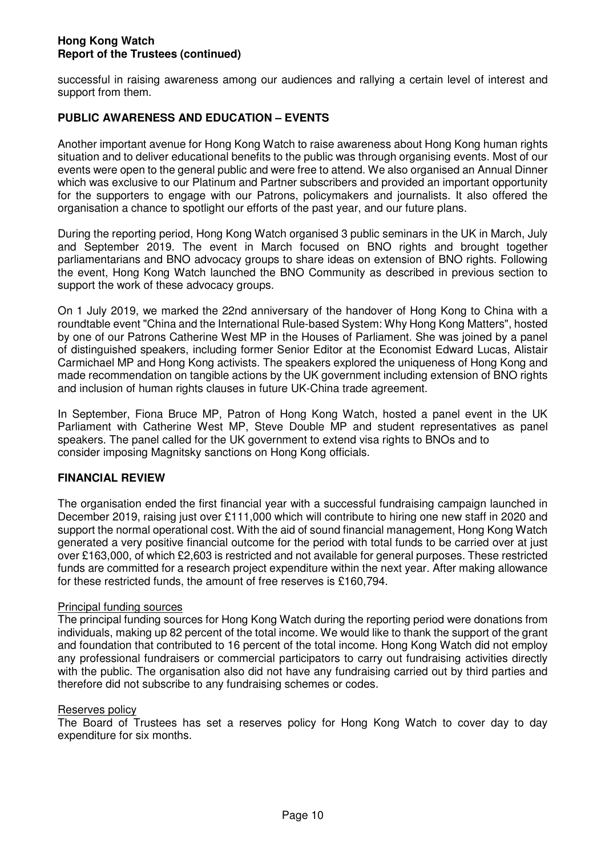successful in raising awareness among our audiences and rallying a certain level of interest and support from them.

# **PUBLIC AWARENESS AND EDUCATION – EVENTS**

Another important avenue for Hong Kong Watch to raise awareness about Hong Kong human rights situation and to deliver educational benefits to the public was through organising events. Most of our events were open to the general public and were free to attend. We also organised an Annual Dinner which was exclusive to our Platinum and Partner subscribers and provided an important opportunity for the supporters to engage with our Patrons, policymakers and journalists. It also offered the organisation a chance to spotlight our efforts of the past year, and our future plans.

During the reporting period, Hong Kong Watch organised 3 public seminars in the UK in March, July and September 2019. The event in March focused on BNO rights and brought together parliamentarians and BNO advocacy groups to share ideas on extension of BNO rights. Following the event, Hong Kong Watch launched the BNO Community as described in previous section to support the work of these advocacy groups.

On 1 July 2019, we marked the 22nd anniversary of the handover of Hong Kong to China with a roundtable event "China and the International Rule-based System: Why Hong Kong Matters", hosted by one of our Patrons Catherine West MP in the Houses of Parliament. She was joined by a panel of distinguished speakers, including former Senior Editor at the Economist Edward Lucas, Alistair Carmichael MP and Hong Kong activists. The speakers explored the uniqueness of Hong Kong and made recommendation on tangible actions by the UK government including extension of BNO rights and inclusion of human rights clauses in future UK-China trade agreement.

In September, Fiona Bruce MP, Patron of Hong Kong Watch, hosted a panel event in the UK Parliament with Catherine West MP, Steve Double MP and student representatives as panel speakers. The panel called for the UK government to extend visa rights to BNOs and to consider imposing Magnitsky sanctions on Hong Kong officials.

# **FINANCIAL REVIEW**

The organisation ended the first financial year with a successful fundraising campaign launched in December 2019, raising just over £111,000 which will contribute to hiring one new staff in 2020 and support the normal operational cost. With the aid of sound financial management, Hong Kong Watch generated a very positive financial outcome for the period with total funds to be carried over at just over £163,000, of which £2,603 is restricted and not available for general purposes. These restricted funds are committed for a research project expenditure within the next year. After making allowance for these restricted funds, the amount of free reserves is £160,794.

# Principal funding sources

The principal funding sources for Hong Kong Watch during the reporting period were donations from individuals, making up 82 percent of the total income. We would like to thank the support of the grant and foundation that contributed to 16 percent of the total income. Hong Kong Watch did not employ any professional fundraisers or commercial participators to carry out fundraising activities directly with the public. The organisation also did not have any fundraising carried out by third parties and therefore did not subscribe to any fundraising schemes or codes.

#### Reserves policy

The Board of Trustees has set a reserves policy for Hong Kong Watch to cover day to day expenditure for six months.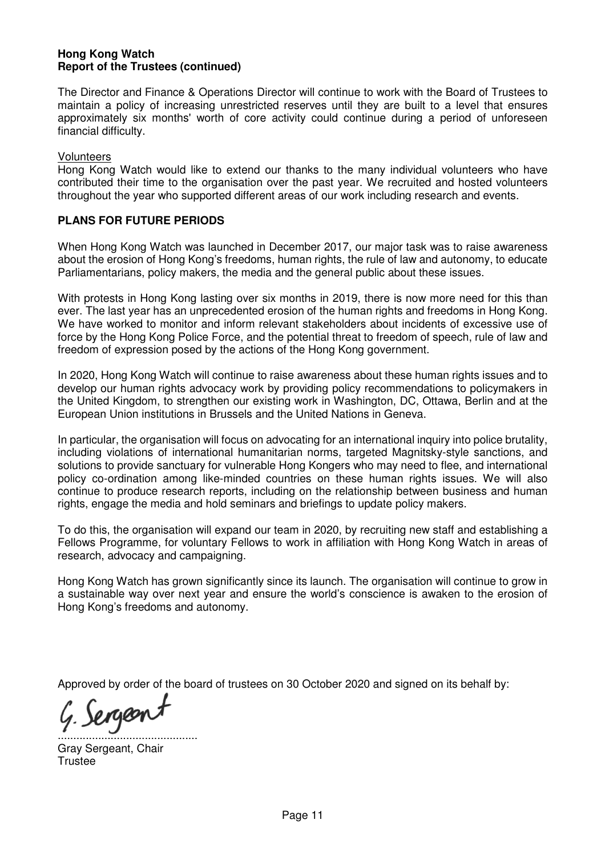The Director and Finance & Operations Director will continue to work with the Board of Trustees to maintain a policy of increasing unrestricted reserves until they are built to a level that ensures approximately six months' worth of core activity could continue during a period of unforeseen financial difficulty.

#### **Volunteers**

Hong Kong Watch would like to extend our thanks to the many individual volunteers who have contributed their time to the organisation over the past year. We recruited and hosted volunteers throughout the year who supported different areas of our work including research and events.

# **PLANS FOR FUTURE PERIODS**

When Hong Kong Watch was launched in December 2017, our major task was to raise awareness about the erosion of Hong Kong's freedoms, human rights, the rule of law and autonomy, to educate Parliamentarians, policy makers, the media and the general public about these issues.

With protests in Hong Kong lasting over six months in 2019, there is now more need for this than ever. The last year has an unprecedented erosion of the human rights and freedoms in Hong Kong. We have worked to monitor and inform relevant stakeholders about incidents of excessive use of force by the Hong Kong Police Force, and the potential threat to freedom of speech, rule of law and freedom of expression posed by the actions of the Hong Kong government.

In 2020, Hong Kong Watch will continue to raise awareness about these human rights issues and to develop our human rights advocacy work by providing policy recommendations to policymakers in the United Kingdom, to strengthen our existing work in Washington, DC, Ottawa, Berlin and at the European Union institutions in Brussels and the United Nations in Geneva.

In particular, the organisation will focus on advocating for an international inquiry into police brutality, including violations of international humanitarian norms, targeted Magnitsky-style sanctions, and solutions to provide sanctuary for vulnerable Hong Kongers who may need to flee, and international policy co-ordination among like-minded countries on these human rights issues. We will also continue to produce research reports, including on the relationship between business and human rights, engage the media and hold seminars and briefings to update policy makers.

To do this, the organisation will expand our team in 2020, by recruiting new staff and establishing a Fellows Programme, for voluntary Fellows to work in affiliation with Hong Kong Watch in areas of research, advocacy and campaigning.

Hong Kong Watch has grown significantly since its launch. The organisation will continue to grow in a sustainable way over next year and ensure the world's conscience is awaken to the erosion of Hong Kong's freedoms and autonomy.

Approved by order of the board of trustees on 30 October 2020 and signed on its behalf by:

Sergeont .............................................

Gray Sergeant, Chair **Trustee**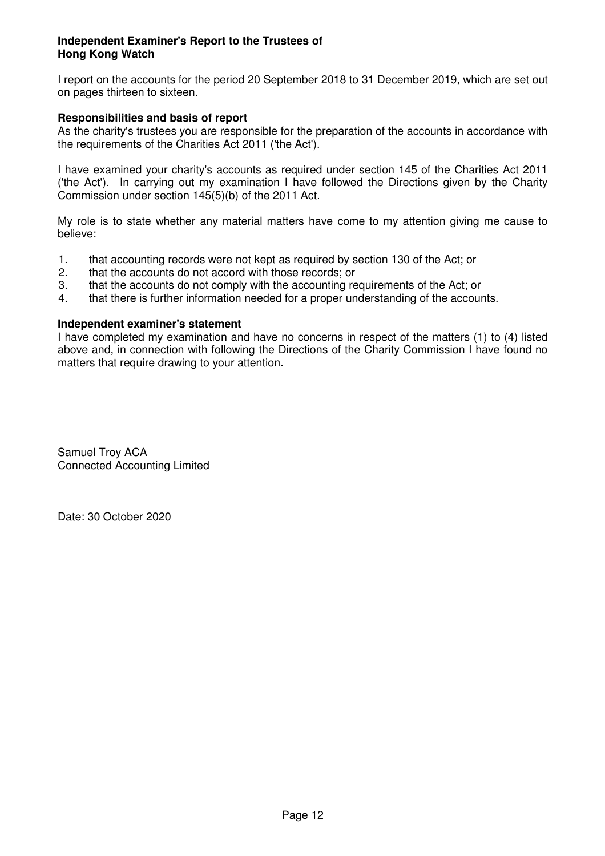# **Independent Examiner's Report to the Trustees of Hong Kong Watch**

I report on the accounts for the period 20 September 2018 to 31 December 2019, which are set out on pages thirteen to sixteen.

# **Responsibilities and basis of report**

As the charity's trustees you are responsible for the preparation of the accounts in accordance with the requirements of the Charities Act 2011 ('the Act').

I have examined your charity's accounts as required under section 145 of the Charities Act 2011 ('the Act'). In carrying out my examination I have followed the Directions given by the Charity Commission under section 145(5)(b) of the 2011 Act.

My role is to state whether any material matters have come to my attention giving me cause to believe:

- 1. that accounting records were not kept as required by section 130 of the Act; or 2. that the accounts do not accord with those records; or
- 2. that the accounts do not accord with those records; or<br>3. that the accounts do not comply with the accounting re
- 3. that the accounts do not comply with the accounting requirements of the Act; or
- 4. that there is further information needed for a proper understanding of the accounts.

#### **Independent examiner's statement**

I have completed my examination and have no concerns in respect of the matters (1) to (4) listed above and, in connection with following the Directions of the Charity Commission I have found no matters that require drawing to your attention.

Samuel Troy ACA Connected Accounting Limited

Date: 30 October 2020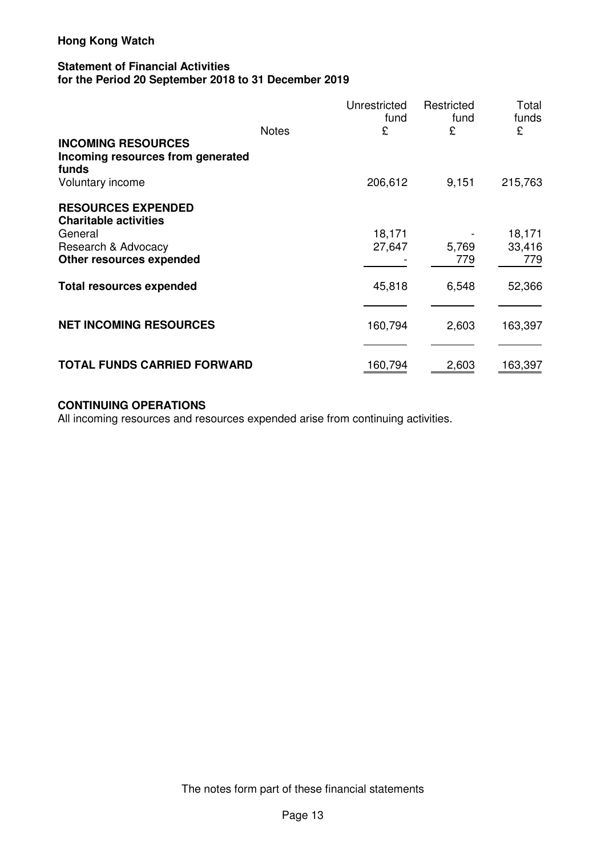#### **Statement of Financial Activities for the Period 20 September 2018 to 31 December 2019**

|                                                                                             | <b>Notes</b> | Unrestricted<br>fund<br>£ | Restricted<br>fund<br>£ | Total<br>funds<br>£     |
|---------------------------------------------------------------------------------------------|--------------|---------------------------|-------------------------|-------------------------|
| <b>INCOMING RESOURCES</b><br>Incoming resources from generated<br>funds<br>Voluntary income |              | 206,612                   | 9,151                   | 215,763                 |
| <b>RESOURCES EXPENDED</b><br><b>Charitable activities</b>                                   |              |                           |                         |                         |
| General<br>Research & Advocacy<br>Other resources expended                                  |              | 18,171<br>27,647          | 5,769<br>779            | 18,171<br>33,416<br>779 |
| <b>Total resources expended</b>                                                             |              | 45,818                    | 6,548                   | 52,366                  |
| <b>NET INCOMING RESOURCES</b>                                                               |              | 160,794                   | 2,603                   | 163,397                 |
| <b>TOTAL FUNDS CARRIED FORWARD</b>                                                          |              | 160,794                   | 2,603                   | 163,397                 |

# **CONTINUING OPERATIONS**

All incoming resources and resources expended arise from continuing activities.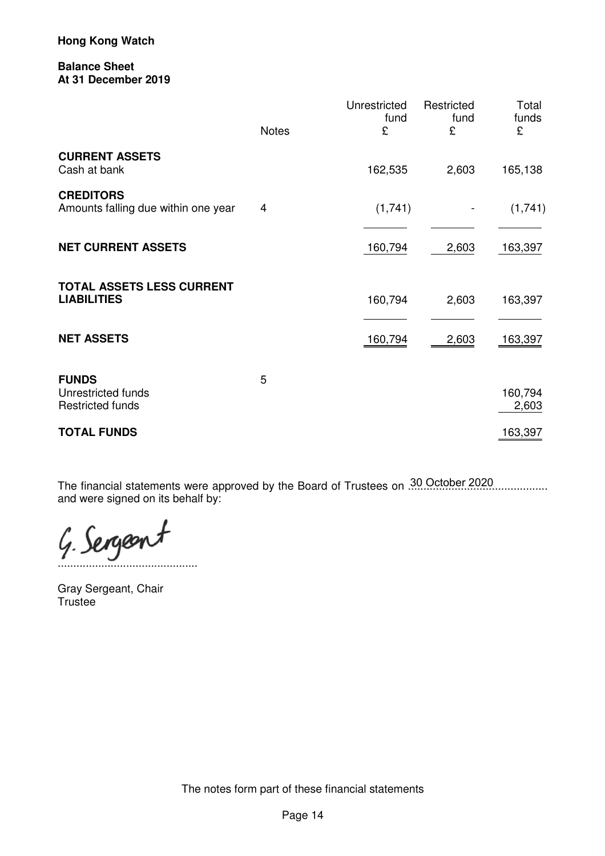#### **Balance Sheet At 31 December 2019**

|                                                               | <b>Notes</b> | Unrestricted<br>fund<br>£ | Restricted<br>fund<br>£ | Total<br>funds<br>£ |
|---------------------------------------------------------------|--------------|---------------------------|-------------------------|---------------------|
| <b>CURRENT ASSETS</b><br>Cash at bank                         |              | 162,535                   | 2,603                   | 165,138             |
| <b>CREDITORS</b><br>Amounts falling due within one year       | 4            | (1,741)                   |                         | (1,741)             |
| <b>NET CURRENT ASSETS</b>                                     |              | 160,794                   | 2,603                   | 163,397             |
| <b>TOTAL ASSETS LESS CURRENT</b><br><b>LIABILITIES</b>        |              | 160,794                   | 2,603                   | 163,397             |
| <b>NET ASSETS</b>                                             |              | 160,794                   | 2,603                   | 163,397             |
| <b>FUNDS</b><br>Unrestricted funds<br><b>Restricted funds</b> | 5            |                           |                         | 160,794<br>2,603    |
| <b>TOTAL FUNDS</b>                                            |              |                           |                         | 163,397             |

The financial statements were approved by the Board of Trustees on 30 October 2020.................... and were signed on its behalf by:

G. Sergeont

Gray Sergeant, Chair Trustee

The notes form part of these financial statements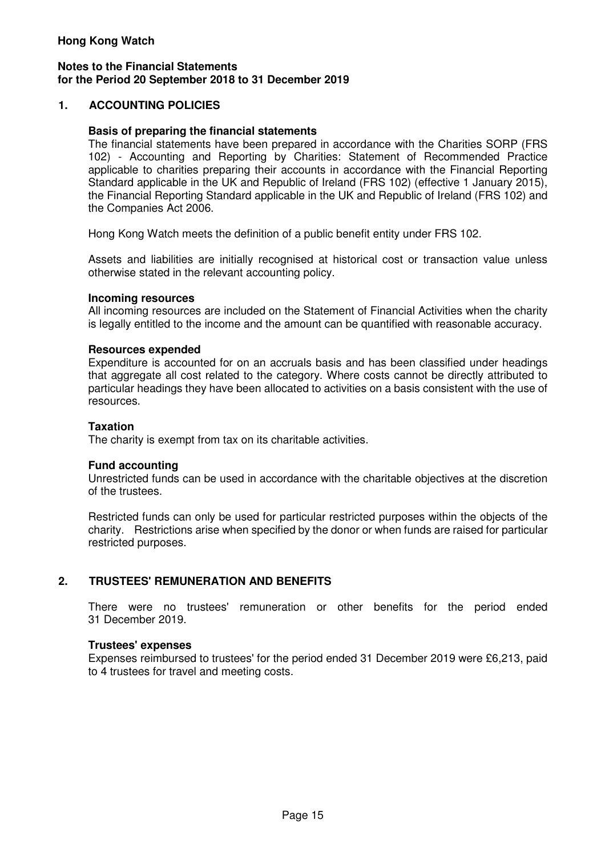#### **Notes to the Financial Statements for the Period 20 September 2018 to 31 December 2019**

# **1. ACCOUNTING POLICIES**

#### **Basis of preparing the financial statements**

The financial statements have been prepared in accordance with the Charities SORP (FRS 102) - Accounting and Reporting by Charities: Statement of Recommended Practice applicable to charities preparing their accounts in accordance with the Financial Reporting Standard applicable in the UK and Republic of Ireland (FRS 102) (effective 1 January 2015), the Financial Reporting Standard applicable in the UK and Republic of Ireland (FRS 102) and the Companies Act 2006.

Hong Kong Watch meets the definition of a public benefit entity under FRS 102.

Assets and liabilities are initially recognised at historical cost or transaction value unless otherwise stated in the relevant accounting policy.

#### **Incoming resources**

All incoming resources are included on the Statement of Financial Activities when the charity is legally entitled to the income and the amount can be quantified with reasonable accuracy.

#### **Resources expended**

Expenditure is accounted for on an accruals basis and has been classified under headings that aggregate all cost related to the category. Where costs cannot be directly attributed to particular headings they have been allocated to activities on a basis consistent with the use of resources.

#### **Taxation**

The charity is exempt from tax on its charitable activities.

#### **Fund accounting**

Unrestricted funds can be used in accordance with the charitable objectives at the discretion of the trustees.

Restricted funds can only be used for particular restricted purposes within the objects of the charity. Restrictions arise when specified by the donor or when funds are raised for particular restricted purposes.

# **2. TRUSTEES' REMUNERATION AND BENEFITS**

There were no trustees' remuneration or other benefits for the period ended 31 December 2019.

#### **Trustees' expenses**

Expenses reimbursed to trustees' for the period ended 31 December 2019 were £6,213, paid to 4 trustees for travel and meeting costs.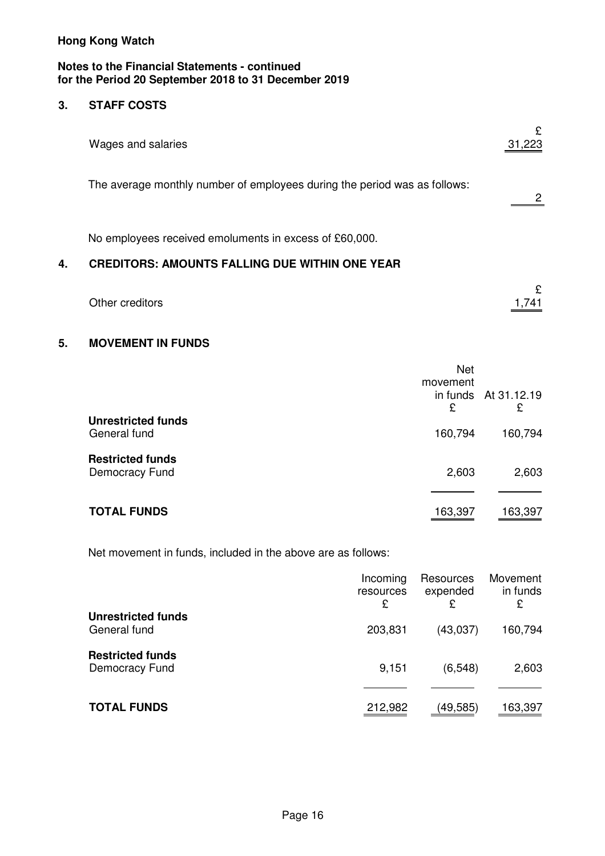#### **Notes to the Financial Statements - continued for the Period 20 September 2018 to 31 December 2019**

#### $3.$ **3. STAFF COSTS**

|    | Wages and salaries                                                                                              | £<br>31,223 |
|----|-----------------------------------------------------------------------------------------------------------------|-------------|
|    | The average monthly number of employees during the period was as follows:                                       |             |
| 4. | No employees received emoluments in excess of £60,000.<br><b>CREDITORS: AMOUNTS FALLING DUE WITHIN ONE YEAR</b> |             |
|    | Other creditors                                                                                                 | £           |

# **5. MOVEMENT IN FUNDS**

|                                           | <b>Net</b><br>movement<br>£ | in funds At 31.12.19<br>£ |
|-------------------------------------------|-----------------------------|---------------------------|
| <b>Unrestricted funds</b><br>General fund | 160,794                     | 160,794                   |
| <b>Restricted funds</b><br>Democracy Fund | 2,603                       | 2,603                     |
| <b>TOTAL FUNDS</b>                        | 163,397                     | 163,397                   |

Net movement in funds, included in the above are as follows:

|                                           | Incoming<br>resources<br>£ | Resources<br>expended<br>£ | Movement<br>in funds<br>£ |
|-------------------------------------------|----------------------------|----------------------------|---------------------------|
| <b>Unrestricted funds</b><br>General fund | 203,831                    | (43,037)                   | 160,794                   |
| <b>Restricted funds</b><br>Democracy Fund | 9,151                      | (6, 548)                   | 2,603                     |
| <b>TOTAL FUNDS</b>                        | 212,982                    | (49,585)                   | 163,397                   |